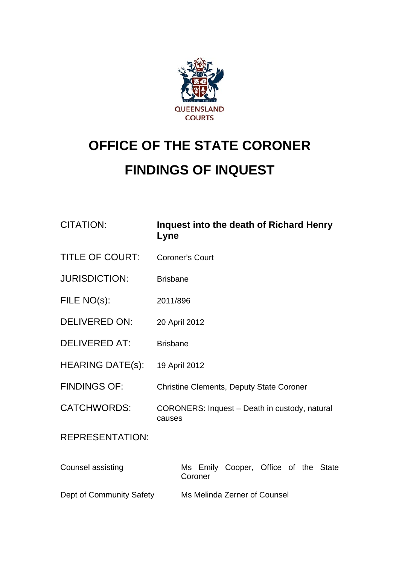

## **OFFICE OF THE STATE CORONER FINDINGS OF INQUEST**

| <b>CITATION:</b>         | Inquest into the death of Richard Henry<br>Lyne         |
|--------------------------|---------------------------------------------------------|
| <b>TITLE OF COURT:</b>   | <b>Coroner's Court</b>                                  |
| <b>JURISDICTION:</b>     | <b>Brisbane</b>                                         |
| FILE NO(s):              | 2011/896                                                |
| <b>DELIVERED ON:</b>     | 20 April 2012                                           |
| <b>DELIVERED AT:</b>     | <b>Brisbane</b>                                         |
| <b>HEARING DATE(s):</b>  | 19 April 2012                                           |
| <b>FINDINGS OF:</b>      | <b>Christine Clements, Deputy State Coroner</b>         |
| <b>CATCHWORDS:</b>       | CORONERS: Inquest - Death in custody, natural<br>causes |
| <b>REPRESENTATION:</b>   |                                                         |
| <b>Counsel assisting</b> | Ms Emily Cooper, Office of the State<br>Coroner         |
| Dept of Community Safety | Ms Melinda Zerner of Counsel                            |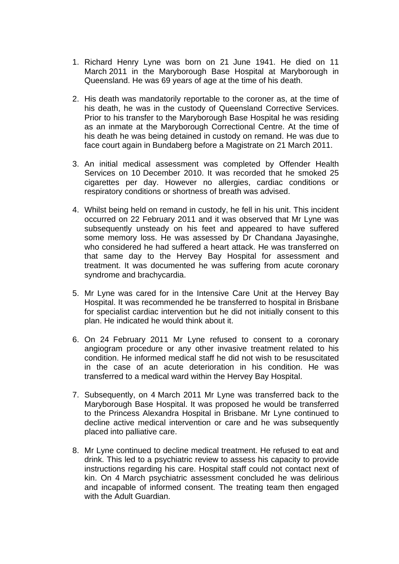- 1. Richard Henry Lyne was born on 21 June 1941. He died on 11 March 2011 in the Maryborough Base Hospital at Maryborough in Queensland. He was 69 years of age at the time of his death.
- 2. His death was mandatorily reportable to the coroner as, at the time of his death, he was in the custody of Queensland Corrective Services. Prior to his transfer to the Maryborough Base Hospital he was residing as an inmate at the Maryborough Correctional Centre. At the time of his death he was being detained in custody on remand. He was due to face court again in Bundaberg before a Magistrate on 21 March 2011.
- 3. An initial medical assessment was completed by Offender Health Services on 10 December 2010. It was recorded that he smoked 25 cigarettes per day. However no allergies, cardiac conditions or respiratory conditions or shortness of breath was advised.
- 4. Whilst being held on remand in custody, he fell in his unit. This incident occurred on 22 February 2011 and it was observed that Mr Lyne was subsequently unsteady on his feet and appeared to have suffered some memory loss. He was assessed by Dr Chandana Jayasinghe, who considered he had suffered a heart attack. He was transferred on that same day to the Hervey Bay Hospital for assessment and treatment. It was documented he was suffering from acute coronary syndrome and brachycardia.
- 5. Mr Lyne was cared for in the Intensive Care Unit at the Hervey Bay Hospital. It was recommended he be transferred to hospital in Brisbane for specialist cardiac intervention but he did not initially consent to this plan. He indicated he would think about it.
- 6. On 24 February 2011 Mr Lyne refused to consent to a coronary angiogram procedure or any other invasive treatment related to his condition. He informed medical staff he did not wish to be resuscitated in the case of an acute deterioration in his condition. He was transferred to a medical ward within the Hervey Bay Hospital.
- 7. Subsequently, on 4 March 2011 Mr Lyne was transferred back to the Maryborough Base Hospital. It was proposed he would be transferred to the Princess Alexandra Hospital in Brisbane. Mr Lyne continued to decline active medical intervention or care and he was subsequently placed into palliative care.
- 8. Mr Lyne continued to decline medical treatment. He refused to eat and drink. This led to a psychiatric review to assess his capacity to provide instructions regarding his care. Hospital staff could not contact next of kin. On 4 March psychiatric assessment concluded he was delirious and incapable of informed consent. The treating team then engaged with the Adult Guardian.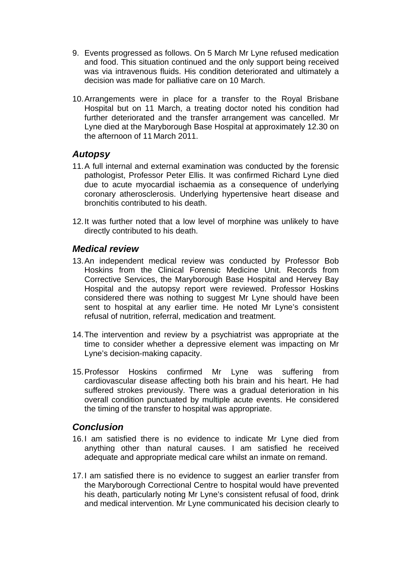- 9. Events progressed as follows. On 5 March Mr Lyne refused medication and food. This situation continued and the only support being received was via intravenous fluids. His condition deteriorated and ultimately a decision was made for palliative care on 10 March.
- 10. Arrangements were in place for a transfer to the Royal Brisbane Hospital but on 11 March, a treating doctor noted his condition had further deteriorated and the transfer arrangement was cancelled. Mr Lyne died at the Maryborough Base Hospital at approximately 12.30 on the afternoon of 11 March 2011.

## *Autopsy*

- 11. A full internal and external examination was conducted by the forensic pathologist, Professor Peter Ellis. It was confirmed Richard Lyne died due to acute myocardial ischaemia as a consequence of underlying coronary atherosclerosis. Underlying hypertensive heart disease and bronchitis contributed to his death.
- 12. It was further noted that a low level of morphine was unlikely to have directly contributed to his death.

## *Medical review*

- 13. An independent medical review was conducted by Professor Bob Hoskins from the Clinical Forensic Medicine Unit. Records from Corrective Services, the Maryborough Base Hospital and Hervey Bay Hospital and the autopsy report were reviewed. Professor Hoskins considered there was nothing to suggest Mr Lyne should have been sent to hospital at any earlier time. He noted Mr Lyne's consistent refusal of nutrition, referral, medication and treatment.
- 14. The intervention and review by a psychiatrist was appropriate at the time to consider whether a depressive element was impacting on Mr Lyne's decision-making capacity.
- 15. Professor Hoskins confirmed Mr Lyne was suffering from cardiovascular disease affecting both his brain and his heart. He had suffered strokes previously. There was a gradual deterioration in his overall condition punctuated by multiple acute events. He considered the timing of the transfer to hospital was appropriate.

## *Conclusion*

- 16. I am satisfied there is no evidence to indicate Mr Lyne died from anything other than natural causes. I am satisfied he received adequate and appropriate medical care whilst an inmate on remand.
- 17. I am satisfied there is no evidence to suggest an earlier transfer from the Maryborough Correctional Centre to hospital would have prevented his death, particularly noting Mr Lyne's consistent refusal of food, drink and medical intervention. Mr Lyne communicated his decision clearly to